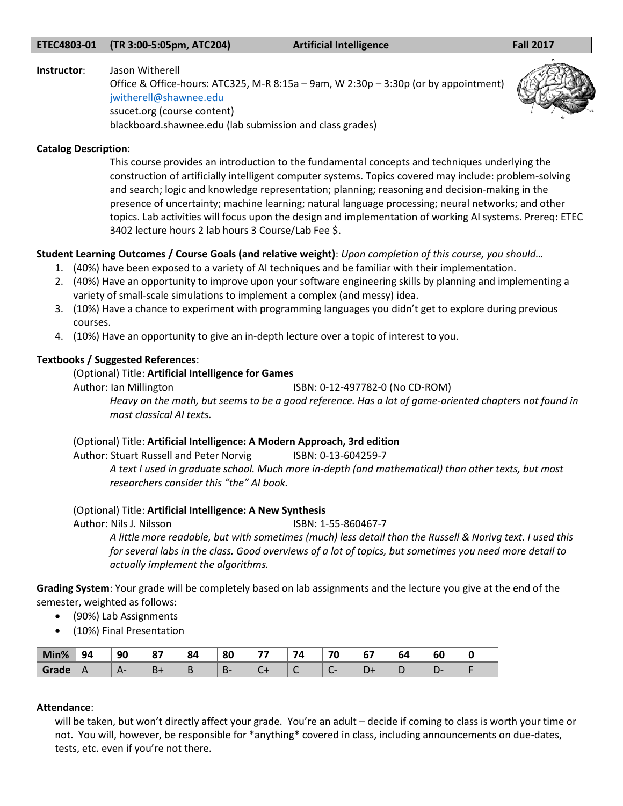#### **ETEC4803-01 (TR 3:00-5:05pm, ATC204) Artificial Intelligence Fall 2017**

#### **Instructor**: Jason Witherell

Office & Office-hours: ATC325, M-R 8:15a – 9am, W 2:30p – 3:30p (or by appointment) [jwitherell@shawnee.edu](mailto:jwitherell@shawnee.edu) ssucet.org (course content) blackboard.shawnee.edu (lab submission and class grades)



#### **Catalog Description**:

This course provides an introduction to the fundamental concepts and techniques underlying the construction of artificially intelligent computer systems. Topics covered may include: problem-solving and search; logic and knowledge representation; planning; reasoning and decision-making in the presence of uncertainty; machine learning; natural language processing; neural networks; and other topics. Lab activities will focus upon the design and implementation of working AI systems. Prereq: ETEC 3402 lecture hours 2 lab hours 3 Course/Lab Fee \$.

## **Student Learning Outcomes / Course Goals (and relative weight)**: *Upon completion of this course, you should…*

- 1. (40%) have been exposed to a variety of AI techniques and be familiar with their implementation.
- 2. (40%) Have an opportunity to improve upon your software engineering skills by planning and implementing a variety of small-scale simulations to implement a complex (and messy) idea.
- 3. (10%) Have a chance to experiment with programming languages you didn't get to explore during previous courses.
- 4. (10%) Have an opportunity to give an in-depth lecture over a topic of interest to you.

## **Textbooks / Suggested References**:

## (Optional) Title: **Artificial Intelligence for Games**

Author: Ian Millington **ISBN: 0-12-497782-0 (No CD-ROM)** 

*Heavy on the math, but seems to be a good reference. Has a lot of game-oriented chapters not found in most classical AI texts.* 

## (Optional) Title: **Artificial Intelligence: A Modern Approach, 3rd edition**

Author: Stuart Russell and Peter Norvig ISBN: 0-13-604259-7 *A text I used in graduate school. Much more in-depth (and mathematical) than other texts, but most researchers consider this "the" AI book.* 

#### (Optional) Title: **Artificial Intelligence: A New Synthesis**

Author: Nils J. Nilsson ISBN: 1-55-860467-7

*A little more readable, but with sometimes (much) less detail than the Russell & Norivg text. I used this for several labs in the class. Good overviews of a lot of topics, but sometimes you need more detail to actually implement the algorithms.*

**Grading System**: Your grade will be completely based on lab assignments and the lecture you give at the end of the semester, weighted as follows:

- (90%) Lab Assignments
- (10%) Final Presentation

| Min%  | 94  | 90 | 07<br>$\bullet$ | 84 | 80      | -- | 74 | $\mathbf{z}$<br>Ψ | $\overline{\phantom{a}}$<br>v, | - -<br>O4 | $\epsilon$<br>ы |  |
|-------|-----|----|-----------------|----|---------|----|----|-------------------|--------------------------------|-----------|-----------------|--|
| Grade | . . |    |                 |    | r.<br>ப |    |    |                   | -                              |           | ╺               |  |

#### **Attendance**:

will be taken, but won't directly affect your grade. You're an adult – decide if coming to class is worth your time or not. You will, however, be responsible for \*anything\* covered in class, including announcements on due-dates, tests, etc. even if you're not there.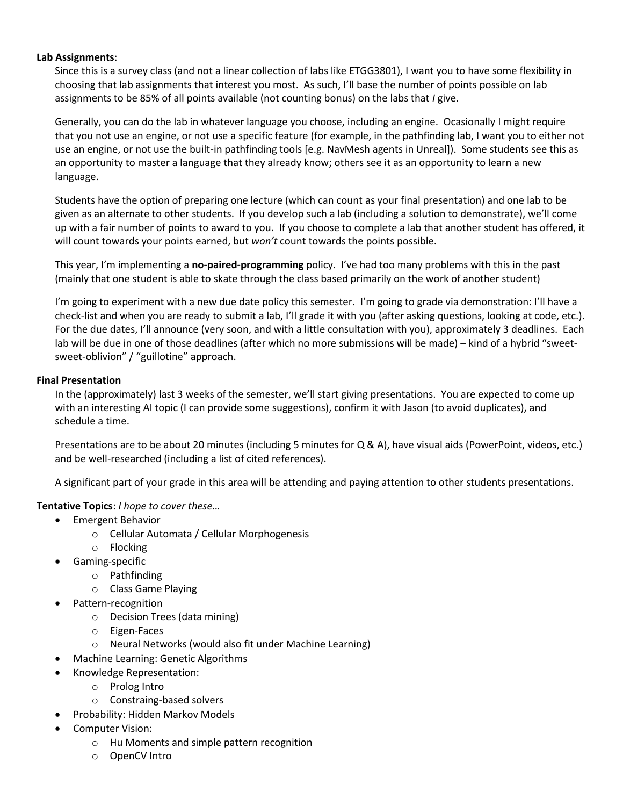## **Lab Assignments**:

Since this is a survey class (and not a linear collection of labs like ETGG3801), I want you to have some flexibility in choosing that lab assignments that interest you most. As such, I'll base the number of points possible on lab assignments to be 85% of all points available (not counting bonus) on the labs that *I* give.

Generally, you can do the lab in whatever language you choose, including an engine. Ocasionally I might require that you not use an engine, or not use a specific feature (for example, in the pathfinding lab, I want you to either not use an engine, or not use the built-in pathfinding tools [e.g. NavMesh agents in Unreal]). Some students see this as an opportunity to master a language that they already know; others see it as an opportunity to learn a new language.

Students have the option of preparing one lecture (which can count as your final presentation) and one lab to be given as an alternate to other students. If you develop such a lab (including a solution to demonstrate), we'll come up with a fair number of points to award to you. If you choose to complete a lab that another student has offered, it will count towards your points earned, but *won't* count towards the points possible.

This year, I'm implementing a **no-paired-programming** policy. I've had too many problems with this in the past (mainly that one student is able to skate through the class based primarily on the work of another student)

I'm going to experiment with a new due date policy this semester. I'm going to grade via demonstration: I'll have a check-list and when you are ready to submit a lab, I'll grade it with you (after asking questions, looking at code, etc.). For the due dates, I'll announce (very soon, and with a little consultation with you), approximately 3 deadlines. Each lab will be due in one of those deadlines (after which no more submissions will be made) – kind of a hybrid "sweetsweet-oblivion" / "guillotine" approach.

## **Final Presentation**

In the (approximately) last 3 weeks of the semester, we'll start giving presentations. You are expected to come up with an interesting AI topic (I can provide some suggestions), confirm it with Jason (to avoid duplicates), and schedule a time.

Presentations are to be about 20 minutes (including 5 minutes for Q & A), have visual aids (PowerPoint, videos, etc.) and be well-researched (including a list of cited references).

A significant part of your grade in this area will be attending and paying attention to other students presentations.

## **Tentative Topics**: *I hope to cover these…*

- Emergent Behavior
	- o Cellular Automata / Cellular Morphogenesis
	- o Flocking
- Gaming-specific
	- o Pathfinding
	- o Class Game Playing
- Pattern-recognition
	- o Decision Trees (data mining)
	- o Eigen-Faces
	- o Neural Networks (would also fit under Machine Learning)
- Machine Learning: Genetic Algorithms
- Knowledge Representation:
	- o Prolog Intro
	- o Constraing-based solvers
- Probability: Hidden Markov Models
- Computer Vision:
	- o Hu Moments and simple pattern recognition
	- o OpenCV Intro